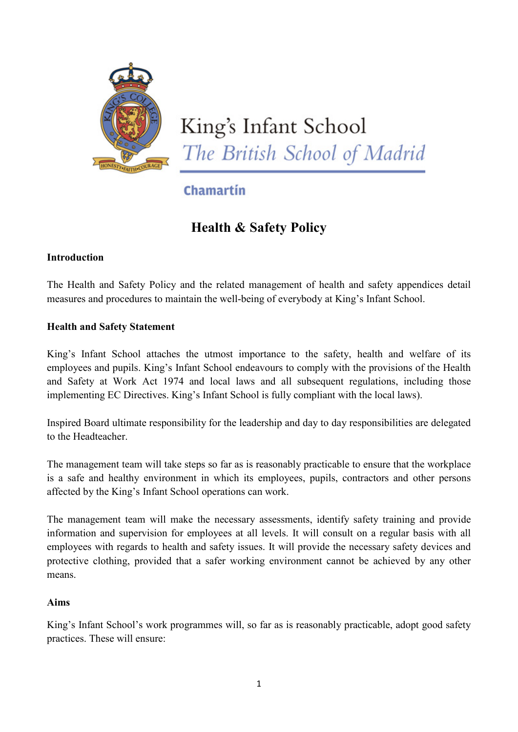

# Chamartín

# **Health & Safety Policy**

# **Introduction**

The Health and Safety Policy and the related management of health and safety appendices detail measures and procedures to maintain the well-being of everybody at King's Infant School.

# **Health and Safety Statement**

King's Infant School attaches the utmost importance to the safety, health and welfare of its employees and pupils. King's Infant School endeavours to comply with the provisions of the Health and Safety at Work Act 1974 and local laws and all subsequent regulations, including those implementing EC Directives. King's Infant School is fully compliant with the local laws).

Inspired Board ultimate responsibility for the leadership and day to day responsibilities are delegated to the Headteacher.

The management team will take steps so far as is reasonably practicable to ensure that the workplace is a safe and healthy environment in which its employees, pupils, contractors and other persons affected by the King's Infant School operations can work.

The management team will make the necessary assessments, identify safety training and provide information and supervision for employees at all levels. It will consult on a regular basis with all employees with regards to health and safety issues. It will provide the necessary safety devices and protective clothing, provided that a safer working environment cannot be achieved by any other means.

# **Aims**

King's Infant School's work programmes will, so far as is reasonably practicable, adopt good safety practices. These will ensure: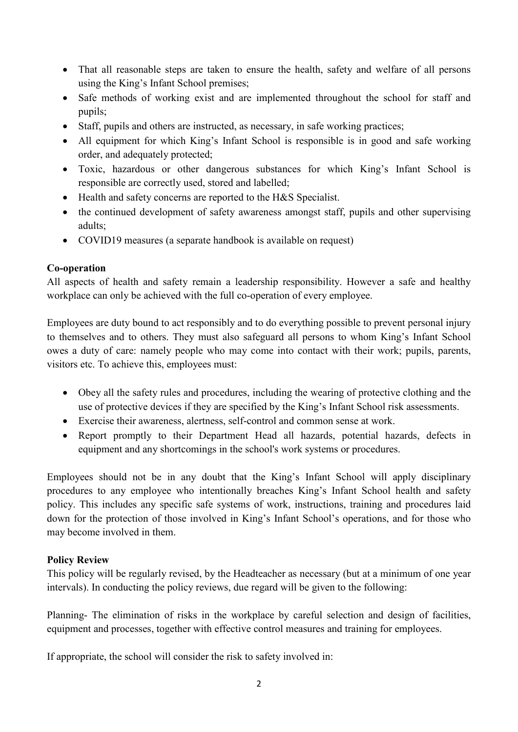- That all reasonable steps are taken to ensure the health, safety and welfare of all persons using the King's Infant School premises;
- Safe methods of working exist and are implemented throughout the school for staff and pupils;
- Staff, pupils and others are instructed, as necessary, in safe working practices;
- All equipment for which King's Infant School is responsible is in good and safe working order, and adequately protected;
- Toxic, hazardous or other dangerous substances for which King's Infant School is responsible are correctly used, stored and labelled;
- Health and safety concerns are reported to the H&S Specialist.
- the continued development of safety awareness amongst staff, pupils and other supervising adults;
- COVID19 measures (a separate handbook is available on request)

# **Co-operation**

All aspects of health and safety remain a leadership responsibility. However a safe and healthy workplace can only be achieved with the full co-operation of every employee.

Employees are duty bound to act responsibly and to do everything possible to prevent personal injury to themselves and to others. They must also safeguard all persons to whom King's Infant School owes a duty of care: namely people who may come into contact with their work; pupils, parents, visitors etc. To achieve this, employees must:

- Obey all the safety rules and procedures, including the wearing of protective clothing and the use of protective devices if they are specified by the King's Infant School risk assessments.
- Exercise their awareness, alertness, self-control and common sense at work.
- Report promptly to their Department Head all hazards, potential hazards, defects in equipment and any shortcomings in the school's work systems or procedures.

Employees should not be in any doubt that the King's Infant School will apply disciplinary procedures to any employee who intentionally breaches King's Infant School health and safety policy. This includes any specific safe systems of work, instructions, training and procedures laid down for the protection of those involved in King's Infant School's operations, and for those who may become involved in them.

# **Policy Review**

This policy will be regularly revised, by the Headteacher as necessary (but at a minimum of one year intervals). In conducting the policy reviews, due regard will be given to the following:

Planning- The elimination of risks in the workplace by careful selection and design of facilities, equipment and processes, together with effective control measures and training for employees.

If appropriate, the school will consider the risk to safety involved in: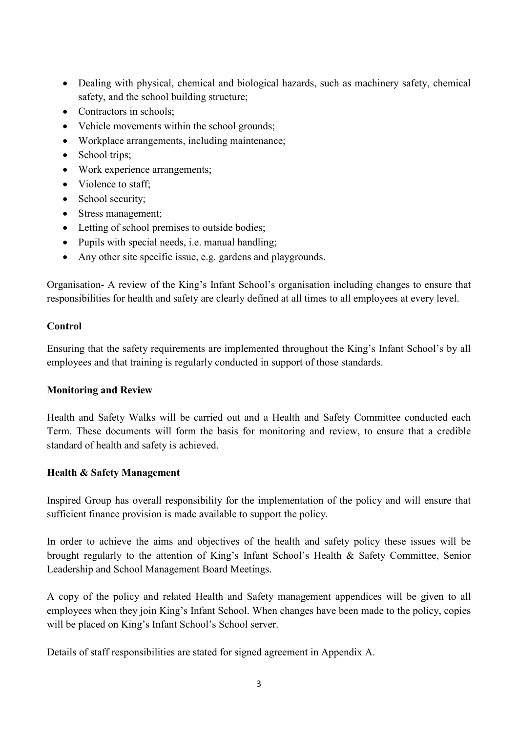- Dealing with physical, chemical and biological hazards, such as machinery safety, chemical safety, and the school building structure;
- Contractors in schools:
- Vehicle movements within the school grounds;
- Workplace arrangements, including maintenance;
- School trips;
- Work experience arrangements;
- Violence to staff;
- School security;
- Stress management;
- Letting of school premises to outside bodies;
- Pupils with special needs, i.e. manual handling;
- Any other site specific issue, e.g. gardens and playgrounds.

Organisation- A review of the King's Infant School's organisation including changes to ensure that responsibilities for health and safety are clearly defined at all times to all employees at every level.

## **Control**

Ensuring that the safety requirements are implemented throughout the King's Infant School's by all employees and that training is regularly conducted in support of those standards.

## **Monitoring and Review**

Health and Safety Walks will be carried out and a Health and Safety Committee conducted each Term. These documents will form the basis for monitoring and review, to ensure that a credible standard of health and safety is achieved.

## **Health & Safety Management**

Inspired Group has overall responsibility for the implementation of the policy and will ensure that sufficient finance provision is made available to support the policy.

In order to achieve the aims and objectives of the health and safety policy these issues will be brought regularly to the attention of King's Infant School's Health & Safety Committee, Senior Leadership and School Management Board Meetings.

A copy of the policy and related Health and Safety management appendices will be given to all employees when they join King's Infant School. When changes have been made to the policy, copies will be placed on King's Infant School's School server.

Details of staff responsibilities are stated for signed agreement in Appendix A.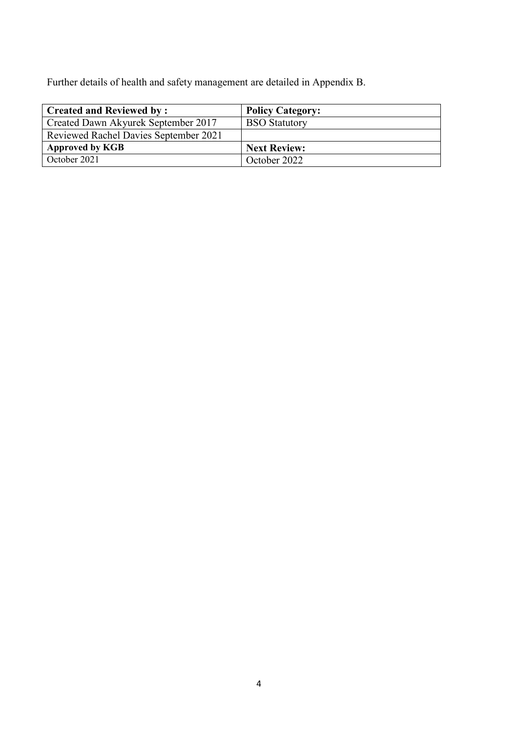Further details of health and safety management are detailed in Appendix B.

| <b>Created and Reviewed by:</b>       | <b>Policy Category:</b> |
|---------------------------------------|-------------------------|
| Created Dawn Akyurek September 2017   | <b>BSO</b> Statutory    |
| Reviewed Rachel Davies September 2021 |                         |
| <b>Approved by KGB</b>                | <b>Next Review:</b>     |
| October 2021                          | October 2022            |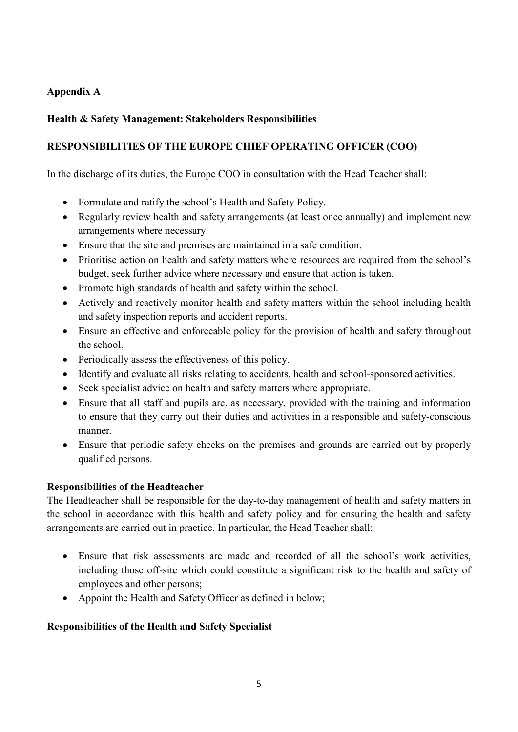# **Appendix A**

## **Health & Safety Management: Stakeholders Responsibilities**

## **RESPONSIBILITIES OF THE EUROPE CHIEF OPERATING OFFICER (COO)**

In the discharge of its duties, the Europe COO in consultation with the Head Teacher shall:

- Formulate and ratify the school's Health and Safety Policy.
- Regularly review health and safety arrangements (at least once annually) and implement new arrangements where necessary.
- Ensure that the site and premises are maintained in a safe condition.
- Prioritise action on health and safety matters where resources are required from the school's budget, seek further advice where necessary and ensure that action is taken.
- Promote high standards of health and safety within the school.
- Actively and reactively monitor health and safety matters within the school including health and safety inspection reports and accident reports.
- Ensure an effective and enforceable policy for the provision of health and safety throughout the school.
- Periodically assess the effectiveness of this policy.
- Identify and evaluate all risks relating to accidents, health and school-sponsored activities.
- Seek specialist advice on health and safety matters where appropriate.
- Ensure that all staff and pupils are, as necessary, provided with the training and information to ensure that they carry out their duties and activities in a responsible and safety-conscious manner.
- Ensure that periodic safety checks on the premises and grounds are carried out by properly qualified persons.

## **Responsibilities of the Headteacher**

The Headteacher shall be responsible for the day-to-day management of health and safety matters in the school in accordance with this health and safety policy and for ensuring the health and safety arrangements are carried out in practice. In particular, the Head Teacher shall:

- Ensure that risk assessments are made and recorded of all the school's work activities, including those off-site which could constitute a significant risk to the health and safety of employees and other persons;
- Appoint the Health and Safety Officer as defined in below;

## **Responsibilities of the Health and Safety Specialist**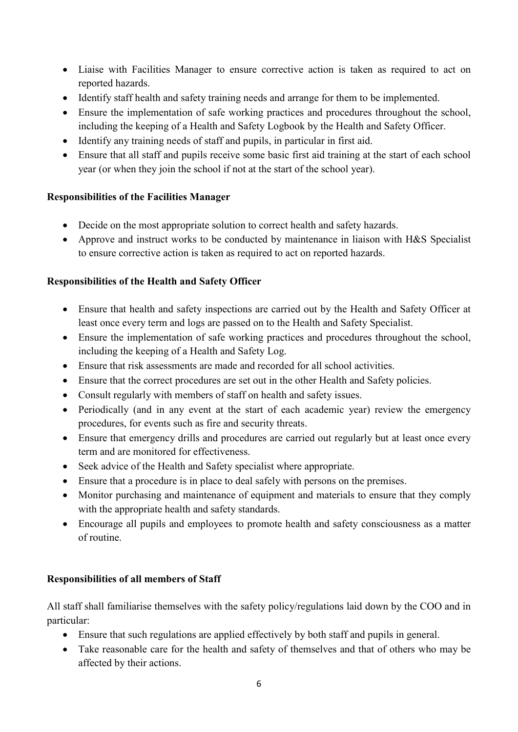- Liaise with Facilities Manager to ensure corrective action is taken as required to act on reported hazards.
- Identify staff health and safety training needs and arrange for them to be implemented.
- Ensure the implementation of safe working practices and procedures throughout the school, including the keeping of a Health and Safety Logbook by the Health and Safety Officer.
- Identify any training needs of staff and pupils, in particular in first aid.
- Ensure that all staff and pupils receive some basic first aid training at the start of each school year (or when they join the school if not at the start of the school year).

# **Responsibilities of the Facilities Manager**

- Decide on the most appropriate solution to correct health and safety hazards.
- Approve and instruct works to be conducted by maintenance in liaison with H&S Specialist to ensure corrective action is taken as required to act on reported hazards.

# **Responsibilities of the Health and Safety Officer**

- Ensure that health and safety inspections are carried out by the Health and Safety Officer at least once every term and logs are passed on to the Health and Safety Specialist.
- Ensure the implementation of safe working practices and procedures throughout the school, including the keeping of a Health and Safety Log.
- Ensure that risk assessments are made and recorded for all school activities.
- Ensure that the correct procedures are set out in the other Health and Safety policies.
- Consult regularly with members of staff on health and safety issues.
- Periodically (and in any event at the start of each academic year) review the emergency procedures, for events such as fire and security threats.
- Ensure that emergency drills and procedures are carried out regularly but at least once every term and are monitored for effectiveness.
- Seek advice of the Health and Safety specialist where appropriate.
- Ensure that a procedure is in place to deal safely with persons on the premises.
- Monitor purchasing and maintenance of equipment and materials to ensure that they comply with the appropriate health and safety standards.
- Encourage all pupils and employees to promote health and safety consciousness as a matter of routine.

# **Responsibilities of all members of Staff**

All staff shall familiarise themselves with the safety policy/regulations laid down by the COO and in particular:

- Ensure that such regulations are applied effectively by both staff and pupils in general.
- Take reasonable care for the health and safety of themselves and that of others who may be affected by their actions.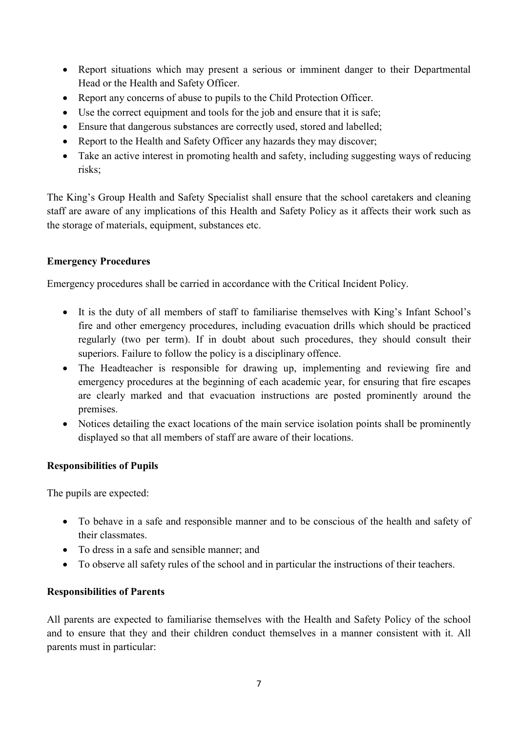- Report situations which may present a serious or imminent danger to their Departmental Head or the Health and Safety Officer.
- Report any concerns of abuse to pupils to the Child Protection Officer.
- Use the correct equipment and tools for the job and ensure that it is safe;
- Ensure that dangerous substances are correctly used, stored and labelled;
- Report to the Health and Safety Officer any hazards they may discover;
- Take an active interest in promoting health and safety, including suggesting ways of reducing risks;

The King's Group Health and Safety Specialist shall ensure that the school caretakers and cleaning staff are aware of any implications of this Health and Safety Policy as it affects their work such as the storage of materials, equipment, substances etc.

# **Emergency Procedures**

Emergency procedures shall be carried in accordance with the Critical Incident Policy.

- It is the duty of all members of staff to familiarise themselves with King's Infant School's fire and other emergency procedures, including evacuation drills which should be practiced regularly (two per term). If in doubt about such procedures, they should consult their superiors. Failure to follow the policy is a disciplinary offence.
- The Headteacher is responsible for drawing up, implementing and reviewing fire and emergency procedures at the beginning of each academic year, for ensuring that fire escapes are clearly marked and that evacuation instructions are posted prominently around the premises.
- Notices detailing the exact locations of the main service isolation points shall be prominently displayed so that all members of staff are aware of their locations.

# **Responsibilities of Pupils**

The pupils are expected:

- To behave in a safe and responsible manner and to be conscious of the health and safety of their classmates.
- To dress in a safe and sensible manner; and
- To observe all safety rules of the school and in particular the instructions of their teachers.

## **Responsibilities of Parents**

All parents are expected to familiarise themselves with the Health and Safety Policy of the school and to ensure that they and their children conduct themselves in a manner consistent with it. All parents must in particular: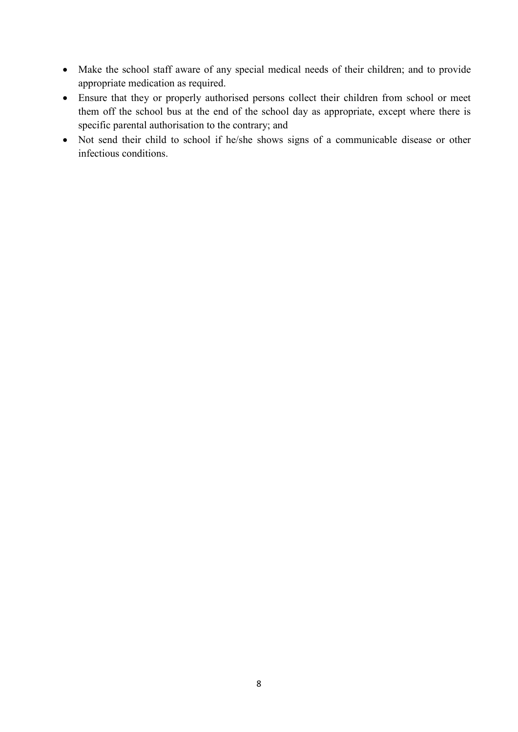- Make the school staff aware of any special medical needs of their children; and to provide appropriate medication as required.
- Ensure that they or properly authorised persons collect their children from school or meet them off the school bus at the end of the school day as appropriate, except where there is specific parental authorisation to the contrary; and
- Not send their child to school if he/she shows signs of a communicable disease or other infectious conditions.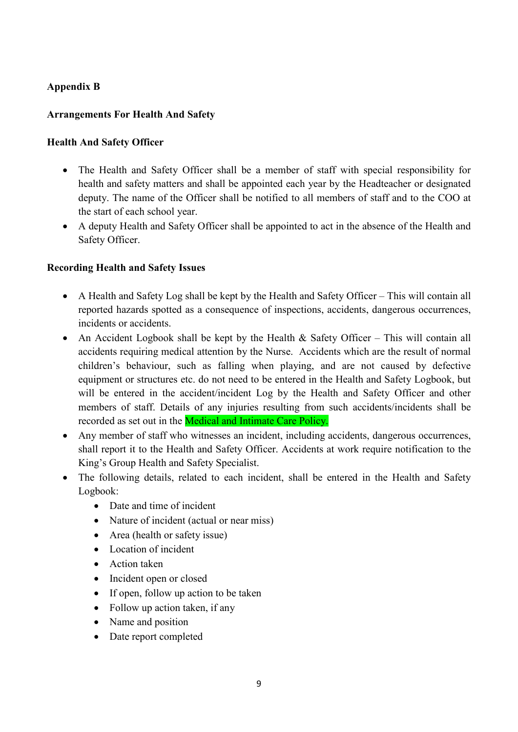# **Appendix B**

# **Arrangements For Health And Safety**

## **Health And Safety Officer**

- The Health and Safety Officer shall be a member of staff with special responsibility for health and safety matters and shall be appointed each year by the Headteacher or designated deputy. The name of the Officer shall be notified to all members of staff and to the COO at the start of each school year.
- A deputy Health and Safety Officer shall be appointed to act in the absence of the Health and Safety Officer.

## **Recording Health and Safety Issues**

- A Health and Safety Log shall be kept by the Health and Safety Officer This will contain all reported hazards spotted as a consequence of inspections, accidents, dangerous occurrences, incidents or accidents.
- An Accident Logbook shall be kept by the Health  $\&$  Safety Officer This will contain all accidents requiring medical attention by the Nurse. Accidents which are the result of normal children's behaviour, such as falling when playing, and are not caused by defective equipment or structures etc. do not need to be entered in the Health and Safety Logbook, but will be entered in the accident/incident Log by the Health and Safety Officer and other members of staff. Details of any injuries resulting from such accidents/incidents shall be recorded as set out in the **Medical and Intimate Care Policy.**
- Any member of staff who witnesses an incident, including accidents, dangerous occurrences, shall report it to the Health and Safety Officer. Accidents at work require notification to the King's Group Health and Safety Specialist.
- The following details, related to each incident, shall be entered in the Health and Safety Logbook:
	- Date and time of incident
	- Nature of incident (actual or near miss)
	- Area (health or safety issue)
	- Location of incident
	- Action taken
	- Incident open or closed
	- If open, follow up action to be taken
	- Follow up action taken, if any
	- Name and position
	- Date report completed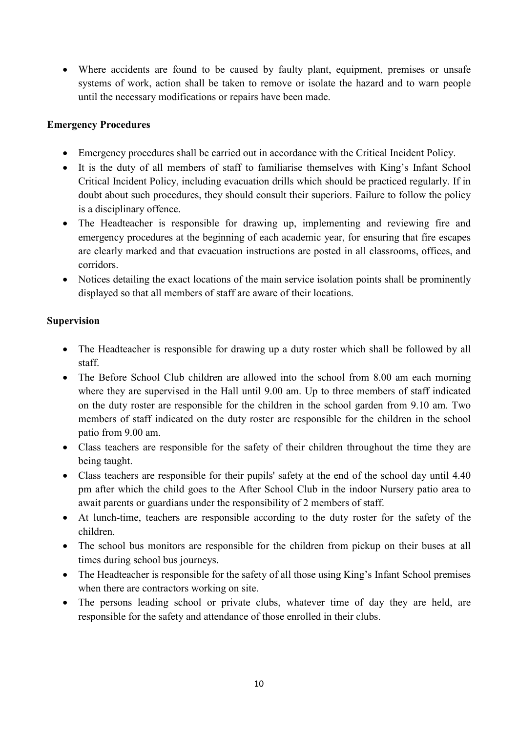• Where accidents are found to be caused by faulty plant, equipment, premises or unsafe systems of work, action shall be taken to remove or isolate the hazard and to warn people until the necessary modifications or repairs have been made.

# **Emergency Procedures**

- Emergency procedures shall be carried out in accordance with the Critical Incident Policy.
- It is the duty of all members of staff to familiarise themselves with King's Infant School Critical Incident Policy, including evacuation drills which should be practiced regularly. If in doubt about such procedures, they should consult their superiors. Failure to follow the policy is a disciplinary offence.
- The Headteacher is responsible for drawing up, implementing and reviewing fire and emergency procedures at the beginning of each academic year, for ensuring that fire escapes are clearly marked and that evacuation instructions are posted in all classrooms, offices, and corridors.
- Notices detailing the exact locations of the main service isolation points shall be prominently displayed so that all members of staff are aware of their locations.

## **Supervision**

- The Headteacher is responsible for drawing up a duty roster which shall be followed by all staff.
- The Before School Club children are allowed into the school from 8.00 am each morning where they are supervised in the Hall until 9.00 am. Up to three members of staff indicated on the duty roster are responsible for the children in the school garden from 9.10 am. Two members of staff indicated on the duty roster are responsible for the children in the school patio from 9.00 am.
- Class teachers are responsible for the safety of their children throughout the time they are being taught.
- Class teachers are responsible for their pupils' safety at the end of the school day until 4.40 pm after which the child goes to the After School Club in the indoor Nursery patio area to await parents or guardians under the responsibility of 2 members of staff.
- At lunch-time, teachers are responsible according to the duty roster for the safety of the children.
- The school bus monitors are responsible for the children from pickup on their buses at all times during school bus journeys.
- The Headteacher is responsible for the safety of all those using King's Infant School premises when there are contractors working on site.
- The persons leading school or private clubs, whatever time of day they are held, are responsible for the safety and attendance of those enrolled in their clubs.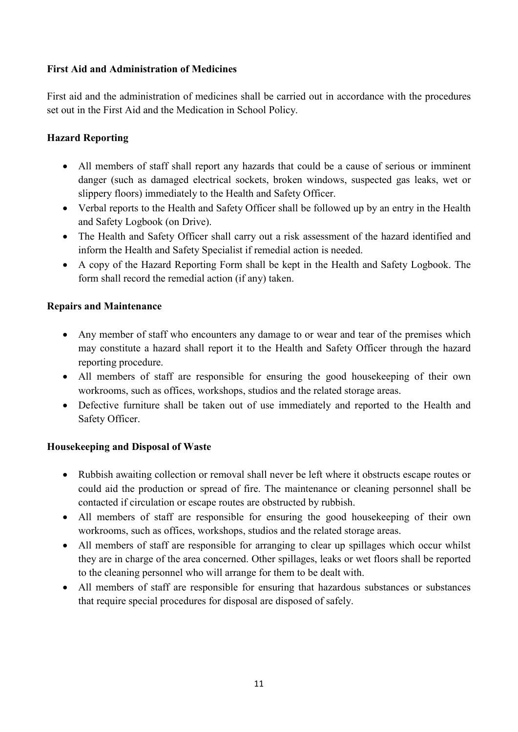# **First Aid and Administration of Medicines**

First aid and the administration of medicines shall be carried out in accordance with the procedures set out in the First Aid and the Medication in School Policy.

# **Hazard Reporting**

- All members of staff shall report any hazards that could be a cause of serious or imminent danger (such as damaged electrical sockets, broken windows, suspected gas leaks, wet or slippery floors) immediately to the Health and Safety Officer.
- Verbal reports to the Health and Safety Officer shall be followed up by an entry in the Health and Safety Logbook (on Drive).
- The Health and Safety Officer shall carry out a risk assessment of the hazard identified and inform the Health and Safety Specialist if remedial action is needed.
- A copy of the Hazard Reporting Form shall be kept in the Health and Safety Logbook. The form shall record the remedial action (if any) taken.

## **Repairs and Maintenance**

- Any member of staff who encounters any damage to or wear and tear of the premises which may constitute a hazard shall report it to the Health and Safety Officer through the hazard reporting procedure.
- All members of staff are responsible for ensuring the good housekeeping of their own workrooms, such as offices, workshops, studios and the related storage areas.
- Defective furniture shall be taken out of use immediately and reported to the Health and Safety Officer.

## **Housekeeping and Disposal of Waste**

- Rubbish awaiting collection or removal shall never be left where it obstructs escape routes or could aid the production or spread of fire. The maintenance or cleaning personnel shall be contacted if circulation or escape routes are obstructed by rubbish.
- All members of staff are responsible for ensuring the good housekeeping of their own workrooms, such as offices, workshops, studios and the related storage areas.
- All members of staff are responsible for arranging to clear up spillages which occur whilst they are in charge of the area concerned. Other spillages, leaks or wet floors shall be reported to the cleaning personnel who will arrange for them to be dealt with.
- All members of staff are responsible for ensuring that hazardous substances or substances that require special procedures for disposal are disposed of safely.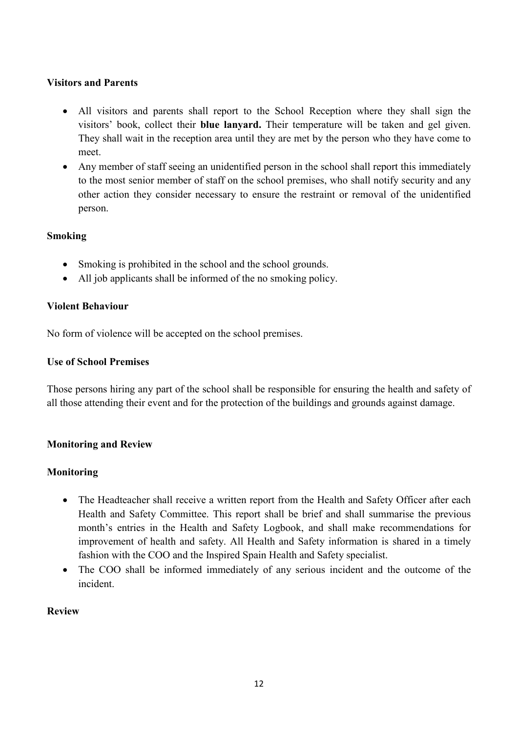## **Visitors and Parents**

- All visitors and parents shall report to the School Reception where they shall sign the visitors' book, collect their **blue lanyard.** Their temperature will be taken and gel given. They shall wait in the reception area until they are met by the person who they have come to meet.
- Any member of staff seeing an unidentified person in the school shall report this immediately to the most senior member of staff on the school premises, who shall notify security and any other action they consider necessary to ensure the restraint or removal of the unidentified person.

# **Smoking**

- Smoking is prohibited in the school and the school grounds.
- All job applicants shall be informed of the no smoking policy.

# **Violent Behaviour**

No form of violence will be accepted on the school premises.

## **Use of School Premises**

Those persons hiring any part of the school shall be responsible for ensuring the health and safety of all those attending their event and for the protection of the buildings and grounds against damage.

# **Monitoring and Review**

# **Monitoring**

- The Headteacher shall receive a written report from the Health and Safety Officer after each Health and Safety Committee. This report shall be brief and shall summarise the previous month's entries in the Health and Safety Logbook, and shall make recommendations for improvement of health and safety. All Health and Safety information is shared in a timely fashion with the COO and the Inspired Spain Health and Safety specialist.
- The COO shall be informed immediately of any serious incident and the outcome of the incident.

## **Review**